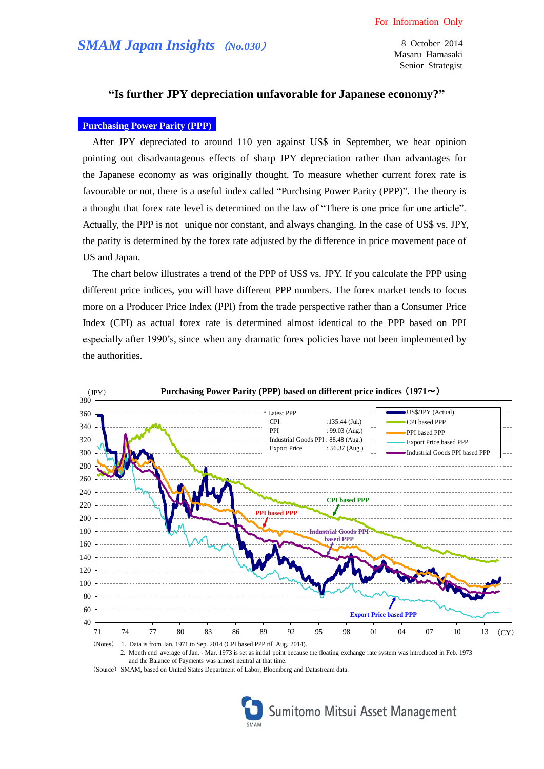8 October 2014 Masaru Hamasaki Senior Strategist

## **"Is further JPY depreciation unfavorable for Japanese economy?"**

## **Purchasing Power Parity (PPP)**

After JPY depreciated to around 110 yen against US\$ in September, we hear opinion pointing out disadvantageous effects of sharp JPY depreciation rather than advantages for the Japanese economy as was originally thought. To measure whether current forex rate is favourable or not, there is a useful index called "Purchsing Power Parity (PPP)". The theory is a thought that forex rate level is determined on the law of "There is one price for one article". Actually, the PPP is not unique nor constant, and always changing. In the case of US\$ vs. JPY, the parity is determined by the forex rate adjusted by the difference in price movement pace of US and Japan.

The chart below illustrates a trend of the PPP of US\$ vs. JPY. If you calculate the PPP using different price indices, you will have different PPP numbers. The forex market tends to focus more on a Producer Price Index (PPI) from the trade perspective rather than a Consumer Price Index (CPI) as actual forex rate is determined almost identical to the PPP based on PPI especially after 1990's, since when any dramatic forex policies have not been implemented by the authorities.



and the Balance of Payments was almost neutral at that time.

(Source) SMAM, based on United States Department of Labor, Bloomberg and Datastream data.